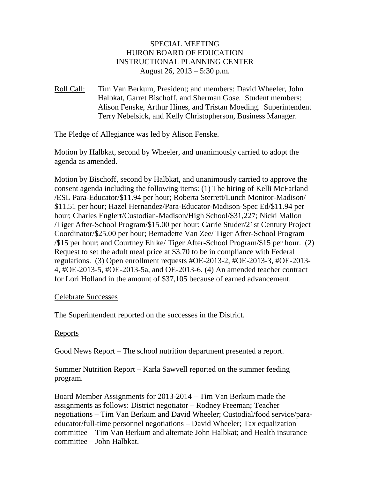### SPECIAL MEETING HURON BOARD OF EDUCATION INSTRUCTIONAL PLANNING CENTER August 26, 2013 – 5:30 p.m.

Roll Call: Tim Van Berkum, President; and members: David Wheeler, John Halbkat, Garret Bischoff, and Sherman Gose. Student members: Alison Fenske, Arthur Hines, and Tristan Moeding. Superintendent Terry Nebelsick, and Kelly Christopherson, Business Manager.

The Pledge of Allegiance was led by Alison Fenske.

Motion by Halbkat, second by Wheeler, and unanimously carried to adopt the agenda as amended.

Motion by Bischoff, second by Halbkat, and unanimously carried to approve the consent agenda including the following items: (1) The hiring of Kelli McFarland /ESL Para-Educator/\$11.94 per hour; Roberta Sterrett/Lunch Monitor-Madison/ \$11.51 per hour; Hazel Hernandez/Para-Educator-Madison-Spec Ed/\$11.94 per hour; Charles Englert/Custodian-Madison/High School/\$31,227; Nicki Mallon /Tiger After-School Program/\$15.00 per hour; Carrie Studer/21st Century Project Coordinator/\$25.00 per hour; Bernadette Van Zee/ Tiger After-School Program /\$15 per hour; and Courtney Ehlke/ Tiger After-School Program/\$15 per hour. (2) Request to set the adult meal price at \$3.70 to be in compliance with Federal regulations. (3) Open enrollment requests #OE-2013-2, #OE-2013-3, #OE-2013- 4, #OE-2013-5, #OE-2013-5a, and OE-2013-6. (4) An amended teacher contract for Lori Holland in the amount of \$37,105 because of earned advancement.

#### Celebrate Successes

The Superintendent reported on the successes in the District.

### Reports

Good News Report – The school nutrition department presented a report.

Summer Nutrition Report – Karla Sawvell reported on the summer feeding program.

Board Member Assignments for 2013-2014 – Tim Van Berkum made the assignments as follows: District negotiator – Rodney Freeman; Teacher negotiations – Tim Van Berkum and David Wheeler; Custodial/food service/paraeducator/full-time personnel negotiations – David Wheeler; Tax equalization committee – Tim Van Berkum and alternate John Halbkat; and Health insurance committee – John Halbkat.